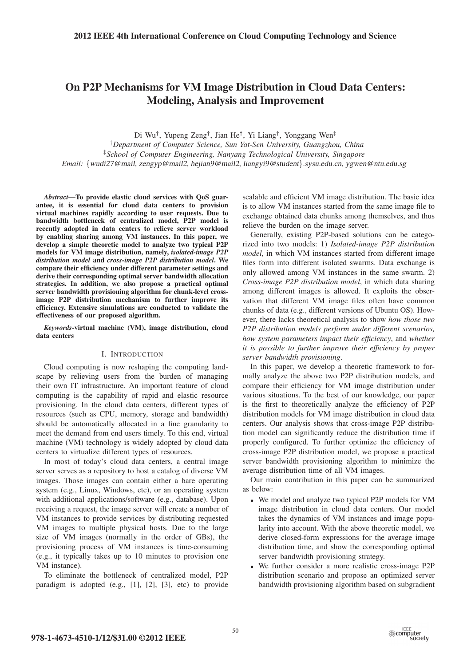# On P2P Mechanisms for VM Image Distribution in Cloud Data Centers: Modeling, Analysis and Improvement

Di Wu†, Yupeng Zeng†, Jian He†, Yi Liang†, Yonggang Wen‡

†*Department of Computer Science, Sun Yat-Sen University, Guangzhou, China* ‡*School of Computer Engineering, Nanyang Technological University, Singapore Email:* {wudi27@mail, zengyp@mail2, hejian9@mail2, liangyi9@student}.sysu.edu.cn, ygwen@ntu.edu.sg

*Abstract*—To provide elastic cloud services with QoS guarantee, it is essential for cloud data centers to provision virtual machines rapidly according to user requests. Due to bandwidth bottleneck of centralized model, P2P model is recently adopted in data centers to relieve server workload by enabling sharing among VM instances. In this paper, we develop a simple theoretic model to analyze two typical P2P models for VM image distribution, namely, *isolated-image P2P distribution model* and *cross-image P2P distribution model*. We compare their efficiency under different parameter settings and derive their corresponding optimal server bandwidth allocation strategies. In addition, we also propose a practical optimal server bandwidth provisioning algorithm for chunk-level crossimage P2P distribution mechanism to further improve its efficiency. Extensive simulations are conducted to validate the effectiveness of our proposed algorithm.

*Keywords*-virtual machine (VM), image distribution, cloud data centers

#### I. INTRODUCTION

Cloud computing is now reshaping the computing landscape by relieving users from the burden of managing their own IT infrastructure. An important feature of cloud computing is the capability of rapid and elastic resource provisioning. In the cloud data centers, different types of resources (such as CPU, memory, storage and bandwidth) should be automatically allocated in a fine granularity to meet the demand from end users timely. To this end, virtual machine (VM) technology is widely adopted by cloud data centers to virtualize different types of resources.

In most of today's cloud data centers, a central image server serves as a repository to host a catalog of diverse VM images. Those images can contain either a bare operating system (e.g., Linux, Windows, etc), or an operating system with additional applications/software (e.g., database). Upon receiving a request, the image server will create a number of VM instances to provide services by distributing requested VM images to multiple physical hosts. Due to the large size of VM images (normally in the order of GBs), the provisioning process of VM instances is time-consuming (e.g., it typically takes up to 10 minutes to provision one VM instance).

To eliminate the bottleneck of centralized model, P2P paradigm is adopted (e.g., [1], [2], [3], etc) to provide scalable and efficient VM image distribution. The basic idea is to allow VM instances started from the same image file to exchange obtained data chunks among themselves, and thus relieve the burden on the image server.

Generally, existing P2P-based solutions can be categorized into two models: 1) *Isolated-image P2P distribution model*, in which VM instances started from different image files form into different isolated swarms. Data exchange is only allowed among VM instances in the same swarm. 2) *Cross-image P2P distribution model*, in which data sharing among different images is allowed. It exploits the observation that different VM image files often have common chunks of data (e.g., different versions of Ubuntu OS). However, there lacks theoretical analysis to show *how those two P2P distribution models perform under different scenarios, how system parameters impact their efficiency*, and *whether it is possible to further improve their efficiency by proper server bandwidth provisioning*.

In this paper, we develop a theoretic framework to formally analyze the above two P2P distribution models, and compare their efficiency for VM image distribution under various situations. To the best of our knowledge, our paper is the first to theoretically analyze the efficiency of P2P distribution models for VM image distribution in cloud data centers. Our analysis shows that cross-image P2P distribution model can significantly reduce the distribution time if properly configured. To further optimize the efficiency of cross-image P2P distribution model, we propose a practical server bandwidth provisioning algorithm to minimize the average distribution time of all VM images.

Our main contribution in this paper can be summarized as below:

- We model and analyze two typical P2P models for VM image distribution in cloud data centers. Our model takes the dynamics of VM instances and image popularity into account. With the above theoretic model, we derive closed-form expressions for the average image distribution time, and show the corresponding optimal server bandwidth provisioning strategy.
- We further consider a more realistic cross-image P2P distribution scenario and propose an optimized server bandwidth provisioning algorithm based on subgradient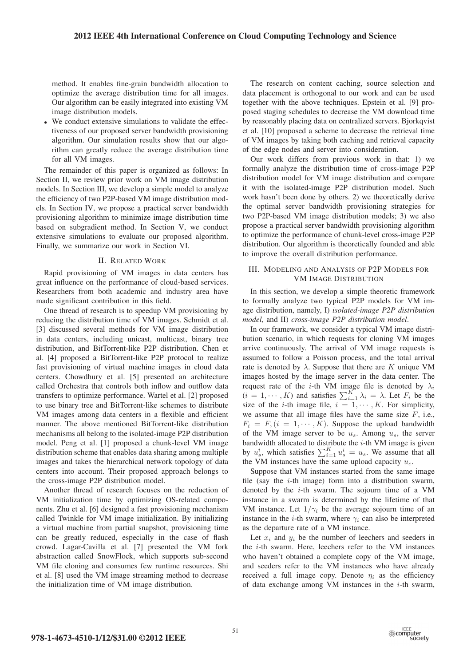method. It enables fine-grain bandwidth allocation to optimize the average distribution time for all images. Our algorithm can be easily integrated into existing VM image distribution models.

• We conduct extensive simulations to validate the effectiveness of our proposed server bandwidth provisioning algorithm. Our simulation results show that our algorithm can greatly reduce the average distribution time for all VM images.

The remainder of this paper is organized as follows: In Section II, we review prior work on VM image distribution models. In Section III, we develop a simple model to analyze the efficiency of two P2P-based VM image distribution models. In Section IV, we propose a practical server bandwidth provisioning algorithm to minimize image distribution time based on subgradient method. In Section V, we conduct extensive simulations to evaluate our proposed algorithm. Finally, we summarize our work in Section VI.

## II. RELATED WORK

Rapid provisioning of VM images in data centers has great influence on the performance of cloud-based services. Researchers from both academic and industry area have made significant contribution in this field.

One thread of research is to speedup VM provisioning by reducing the distribution time of VM images. Schmidt et al. [3] discussed several methods for VM image distribution in data centers, including unicast, multicast, binary tree distribution, and BitTorrent-like P2P distribution. Chen et al. [4] proposed a BitTorrent-like P2P protocol to realize fast provisioning of virtual machine images in cloud data centers. Chowdhury et al. [5] presented an architecture called Orchestra that controls both inflow and outflow data transfers to optimize performance. Wartel et al. [2] proposed to use binary tree and BitTorrent-like schemes to distribute VM images among data centers in a flexible and efficient manner. The above mentioned BitTorrent-like distribution mechanisms all belong to the isolated-image P2P distribution model. Peng et al. [1] proposed a chunk-level VM image distribution scheme that enables data sharing among multiple images and takes the hierarchical network topology of data centers into account. Their proposed approach belongs to the cross-image P2P distribution model.

Another thread of research focuses on the reduction of VM initialization time by optimizing OS-related components. Zhu et al. [6] designed a fast provisioning mechanism called Twinkle for VM image initialization. By initializing a virtual machine from partial snapshot, provisioning time can be greatly reduced, especially in the case of flash crowd. Lagar-Cavilla et al. [7] presented the VM fork abstraction called SnowFlock, which supports sub-second VM file cloning and consumes few runtime resources. Shi et al. [8] used the VM image streaming method to decrease the initialization time of VM image distribution.

The research on content caching, source selection and data placement is orthogonal to our work and can be used together with the above techniques. Epstein et al. [9] proposed staging schedules to decrease the VM download time by reasonably placing data on centralized servers. Bjorkqvist et al. [10] proposed a scheme to decrease the retrieval time of VM images by taking both caching and retrieval capacity of the edge nodes and server into consideration.

Our work differs from previous work in that: 1) we formally analyze the distribution time of cross-image P2P distribution model for VM image distribution and compare it with the isolated-image P2P distribution model. Such work hasn't been done by others. 2) we theoretically derive the optimal server bandwidth provisioning strategies for two P2P-based VM image distribution models; 3) we also propose a practical server bandwidth provisioning algorithm to optimize the performance of chunk-level cross-image P2P distribution. Our algorithm is theoretically founded and able to improve the overall distribution performance.

# III. MODELING AND ANALYSIS OF P2P MODELS FOR VM IMAGE DISTRIBUTION

In this section, we develop a simple theoretic framework to formally analyze two typical P2P models for VM image distribution, namely, I) *isolated-image P2P distribution model*, and II) *cross-image P2P distribution model*.

In our framework, we consider a typical VM image distribution scenario, in which requests for cloning VM images arrive continuously. The arrival of VM image requests is assumed to follow a Poisson process, and the total arrival rate is denoted by  $\lambda$ . Suppose that there are K unique VM images hosted by the image server in the data center. The request rate of the *i*-th VM image file is denoted by  $\lambda_i$ <br>  $(i = 1, \dots, K)$  and satisfies  $\sum_{i=1}^{K} \lambda_i = \lambda$ . Let  $F_i$  be the<br>
size of the *i*-th image file  $i = 1, \dots, K$ . For simplicity size of the *i*-th image file,  $i = 1, \dots, K$ . For simplicity, we assume that all image files have the same size  $F$ , i.e.,  $F_i = F$ ,  $(i = 1, \dots, K)$ . Suppose the upload bandwidth of the VM image server to be  $u_s$ . Among  $u_s$ , the server bandwidth allocated to distribute the  $i$ -th VM image is given by  $u_s^i$ , which satisfies  $\sum_{i=1}^K u_s^i = u_s$ . We assume that all the VM instances have the same upload capacity  $u$ the VM instances have the same upload capacity  $u_c$ .

Suppose that VM instances started from the same image file (say the  $i$ -th image) form into a distribution swarm, denoted by the  $i$ -th swarm. The sojourn time of a VM instance in a swarm is determined by the lifetime of that VM instance. Let  $1/\gamma_i$  be the average sojourn time of an instance in the *i*-th swarm, where  $\gamma_i$  can also be interpreted as the departure rate of a VM instance.

Let  $x_i$  and  $y_i$  be the number of leechers and seeders in the  $i$ -th swarm. Here, leechers refer to the VM instances who haven't obtained a complete copy of the VM image, and seeders refer to the VM instances who have already received a full image copy. Denote  $\eta_i$  as the efficiency of data exchange among VM instances in the  $i$ -th swarm,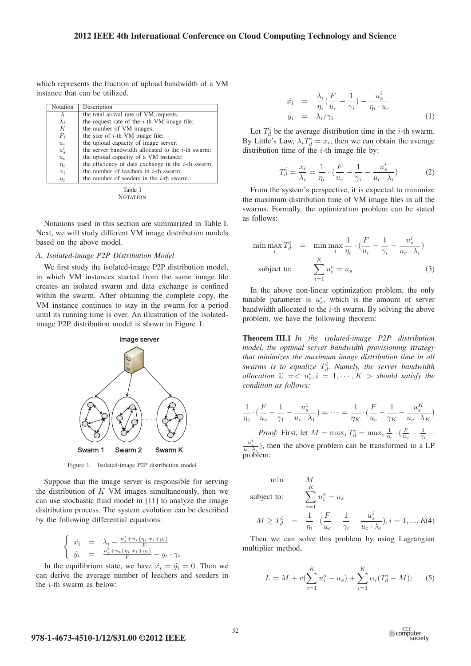which represents the fraction of upload bandwidth of a VM instance that can be utilized.

| Notation    | Description                                           |
|-------------|-------------------------------------------------------|
|             | the total arrival rate of VM requests;                |
| $\lambda_i$ | the request rate of the $i$ -th VM image file;        |
| K           | the number of VM images;                              |
| $F_i$       | the size of $i$ -th VM image file;                    |
| $u_s$       | the upload capacity of image server;                  |
| $u_s^i$     | the server bandwidth allocated to the $i$ -th swarm;  |
| $u_c$       | the upload capacity of a VM instance;                 |
| $\eta_i$    | the efficiency of data exchange in the $i$ -th swarm; |
| $x_i$       | the number of leechers in $i$ -th swarm;              |
| $y_i$       | the number of seeders in the $i$ -th swarm.           |
|             |                                                       |

Table I **NOTATION** 

Notations used in this section are summarized in Table I. Next, we will study different VM image distribution models based on the above model.

## *A. Isolated-image P2P Distribution Model*

We first study the isolated-image P2P distribution model, in which VM instances started from the same image file creates an isolated swarm and data exchange is confined within the swarm. After obtaining the complete copy, the VM instance continues to stay in the swarm for a period until its running time is over. An illustration of the isolatedimage P2P distribution model is shown in Figure 1.



Figure 1. Isolated-image P2P distribution model

Suppose that the image server is responsible for serving the distribution of  $K$  VM images simultaneously, then we can use stochastic fluid model in [11] to analyze the image distribution process. The system evolution can be described by the following differential equations:

$$
\begin{cases} \n\dot{x}_i = \lambda_i - \frac{u_s^i + u_c(\eta_i \cdot x_i + y_i)}{F} \\
\dot{y}_i = \frac{u_s^i + u_c(\eta_i \cdot x_i + y_i)}{F} - y_i \cdot \gamma_i\n\end{cases}
$$

In the equilibrium state, we have  $\dot{x}_i = \dot{y}_i = 0$ . Then we have the average number of leechers and seeders in can derive the average number of leechers and seeders in the i-th swarm as below:

$$
\begin{array}{rcl}\n\bar{x}_i & = & \frac{\lambda_i}{\eta_i} \left( \frac{F}{u_c} - \frac{1}{\gamma_i} \right) - \frac{u_s^i}{\eta_i \cdot u_c} \\
\bar{y}_i & = & \lambda_i / \gamma_i\n\end{array} \tag{1}
$$

Let  $T_d^i$  be the average distribution time in the *i*-th swarm.<br>Little's Law  $\lambda T^i = x_i$ , then we can obtain the average By Little's Law,  $\lambda_i T_d^i = x_i$ , then we can obtain the average distribution time of the *i*-th image file by: distribution time of the  $i$ -th image file by:

$$
T_d^i = \frac{x_i}{\lambda_i} = \frac{1}{\eta_i} \cdot \left(\frac{F}{u_c} - \frac{1}{\gamma_i} - \frac{u_s^i}{u_c \cdot \lambda_i}\right) \tag{2}
$$

From the system's perspective, it is expected to minimize the maximum distribution time of VM image files in all the swarms. Formally, the optimization problem can be stated as follows:

$$
\min \max_{i} T_d^i = \min \max_{i} \frac{1}{\eta_i} \cdot (\frac{F}{u_c} - \frac{1}{\gamma_i} - \frac{u_s^i}{u_c \cdot \lambda_i})
$$
\n
$$
\text{subject to:} \qquad \sum_{i=1}^K u_i^s = u_s \tag{3}
$$

In the above non-linear optimization problem, the only tunable parameter is  $u_s^i$ , which is the amount of server<br>bandwidth allocated to the *i*-th swarm. By solving the above bandwidth allocated to the  $i$ -th swarm. By solving the above problem, we have the following theorem:

Theorem III.1 *In the isolated-image P2P distribution model, the optimal server bandwidth provisioning strategy that minimizes the maximum image distribution time in all swarms is to equalize*  $T_d^i$ . Namely, the server bandwidth allocation  $\mathbb{H} \longrightarrow u^i$  *i*  $\frac{1}{2}$  1 ...  $K >$  should satisfy the *allocation*  $\mathbb{U} = \langle u_s^i, i = 1, \cdots, K \rangle$  *should satisfy the condition as follows: condition as follows:*

$$
\frac{1}{\eta_1} \cdot \left( \frac{F}{u_c} - \frac{1}{\gamma_1} - \frac{u_s^1}{u_c \cdot \lambda_1} \right) = \dots = \frac{1}{\eta_K} \cdot \left( \frac{F}{u_c} - \frac{1}{\gamma_K} - \frac{u_s^K}{u_c \cdot \lambda_K} \right)
$$
  
\n*Proof:* First, let  $M = \max_i T_d^i = \max_i \frac{1}{\eta_i} \cdot \left( \frac{F}{u_c} - \frac{1}{\gamma_i} - \frac{1}{\gamma_i} \right)$ 

 $\frac{u_s^i}{u_c \cdot \lambda_i}$ ), then the above problem can be transformed to a LP problem:

 $\frac{1}{K}$ subject to:

min

$$
\text{subject to:} \qquad \sum_{i=1} u_i^s = u_s
$$
\n
$$
M \ge T_d^i = \frac{1}{\eta_i} \cdot \left(\frac{F}{u_c} - \frac{1}{\gamma_i} - \frac{u_s^i}{u_c \cdot \lambda_i}\right), i = 1, ..., K(4)
$$

Then we can solve this problem by using Lagrangian multiplier method,

$$
L = M + v(\sum_{i=1}^{K} u_i^s - u_s) + \sum_{i=1}^{K} \alpha_i (T_d^i - M); \quad (5)
$$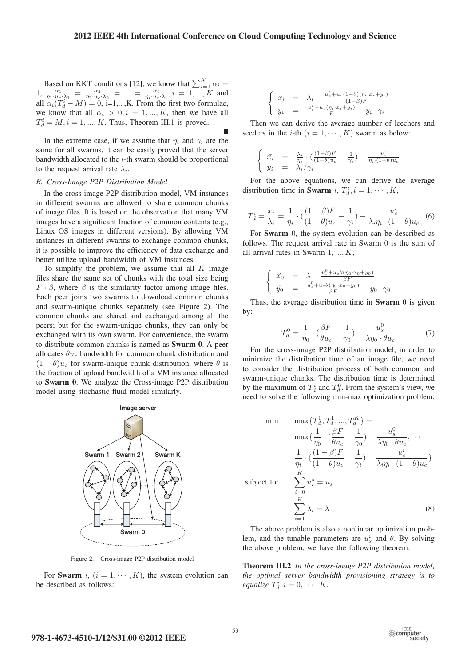П

Based on KKT conditions [12], we know that  $\sum_{i=1}^{K} \alpha_i =$ <br>  $1, \frac{\alpha_1}{\eta_1 \cdot u_c \cdot \lambda_1} = \frac{\alpha_2}{\eta_2 \cdot u_c \cdot \lambda_2} = ... = \frac{\alpha_i}{\eta_i \cdot u_c \cdot \lambda_i}, i = 1, ..., K$  and<br>
all  $\alpha_i(T_i^i - M) = 0$ , i=1. K. From the first two formulae all  $\alpha_i(T_d^i - M) = 0$ , i=1,...,K. From the first two formulae,<br>we know that all  $\alpha_i > 0$ ,  $i = 1$ . K, then we have all we know that all  $\alpha_i > 0, i = 1, ..., K$ , then we have all  $T_d^i = M, i = 1, ..., K$ . Thus, Theorem III.1 is proved.

In the extreme case, if we assume that  $\eta_i$  and  $\gamma_i$  are the same for all swarms, it can be easily proved that the server bandwidth allocated to the  $i$ -th swarm should be proportional to the request arrival rate  $\lambda_i$ .

## *B. Cross-Image P2P Distribution Model*

In the cross-image P2P distribution model, VM instances in different swarms are allowed to share common chunks of image files. It is based on the observation that many VM images have a significant fraction of common contents (e.g., Linux OS images in different versions). By allowing VM instances in different swarms to exchange common chunks, it is possible to improve the efficiency of data exchange and better utilize upload bandwidth of VM instances.

To simplify the problem, we assume that all  $K$  image files share the same set of chunks with the total size being  $F \cdot \beta$ , where  $\beta$  is the similarity factor among image files. Each peer joins two swarms to download common chunks and swarm-unique chunks separately (see Figure 2). The common chunks are shared and exchanged among all the peers; but for the swarm-unique chunks, they can only be exchanged with its own swarm. For convenience, the swarm to distribute common chunks is named as Swarm 0. A peer allocates  $\theta u_c$  bandwidth for common chunk distribution and  $(1 - \theta)u_c$  for swarm-unique chunk distribution, where  $\theta$  is the fraction of upload bandwidth of a VM instance allocated to Swarm 0. We analyze the Cross-image P2P distribution model using stochastic fluid model similarly.



Figure 2. Cross-image P2P distribution model

For Swarm i,  $(i = 1, \dots, K)$ , the system evolution can be described as follows:

$$
\begin{cases}\n\dot{x}_i = \lambda_i - \frac{u_s^i + u_c(1-\theta)(\eta_i \cdot x_i + y_i)}{(1-\beta)F} \\
\dot{y}_i = \frac{u_s^i + u_c(\eta_i \cdot x_i + y_i)}{F} - y_i \cdot \gamma_i\n\end{cases}
$$

Then we can derive the average number of leechers and seeders in the *i*-th  $(i = 1, \dots, K)$  swarm as below:

$$
\begin{cases} \bar{x}_i = \frac{\lambda_i}{\eta_i} \cdot \left( \frac{(1-\beta)F}{(1-\theta)u_c} - \frac{1}{\gamma_i} \right) - \frac{u_s^i}{\eta_i \cdot (1-\theta)u_c} \\ \bar{y}_i = \lambda_i/\gamma_i \end{cases}
$$

For the above equations, we can derive the average distribution time in **Swarm** i,  $T_d^i$ ,  $i = 1, \dots, K$ ,

$$
T_d^i = \frac{x_i}{\lambda_i} = \frac{1}{\eta_i} \cdot \left( \frac{(1-\beta)F}{(1-\theta)u_c} - \frac{1}{\gamma_i} \right) - \frac{u_s^i}{\lambda_i \eta_i \cdot (1-\theta)u_c} \tag{6}
$$

For **Swarm** 0, the system evolution can be described as<br>llows. The request arrival rate in Swarm 0 is the sum of follows. The request arrival rate in Swarm 0 is the sum of all arrival rates in Swarm  $1, \ldots, K$ ,

$$
\begin{cases}\n\dot{x}_0 = \lambda - \frac{u_s^0 + u_c \theta(\eta_0 \cdot x_0 + y_0)}{\beta F} \\
\dot{y}_0 = \frac{u_s^0 + u_c \theta(\eta_0 \cdot x_0 + y_0)}{\beta F} - y_0 \cdot \gamma_0\n\end{cases}
$$

Thus, the average distribution time in **Swarm 0** is given by:

$$
T_d^0 = \frac{1}{\eta_0} \cdot \left(\frac{\beta F}{\theta u_c} - \frac{1}{\gamma_0}\right) - \frac{u_s^0}{\lambda \eta_0 \cdot \theta u_c} \tag{7}
$$

For the cross-image P2P distribution model, in order to minimize the distribution time of an image file, we need to consider the distribution process of both common and swarm-unique chunks. The distribution time is determined by the maximum of  $T_d^i$  and  $T_d^0$ . From the system's view, we need to solve the following min-max optimization problem need to solve the following min-max optimization problem,

$$
\min \max \{T_d^0, T_d^1, ..., T_d^K\} =
$$
\n
$$
\max \{ \frac{1}{\eta_0} \cdot (\frac{\beta F}{\theta u_c} - \frac{1}{\gamma_0}) - \frac{u_s^0}{\lambda \eta_0 \cdot \theta u_c}, \dots, \}
$$
\n
$$
\frac{1}{\eta_i} \cdot (\frac{(1 - \beta)F}{(1 - \theta)u_c} - \frac{1}{\gamma_i}) - \frac{u_s^i}{\lambda_i \eta_i \cdot (1 - \theta)u_c} \}
$$
\n
$$
\text{subject to:} \quad \sum_{i=0}^K u_i^s = u_s
$$
\n
$$
\sum_{i=1}^K \lambda_i = \lambda \tag{8}
$$

The above problem is also a nonlinear optimization problem, and the tunable parameters are  $u_s^i$  and  $\theta$ . By solving the above problem, we have the following theorem: the above problem, we have the following theorem:

Theorem III.2 *In the cross-image P2P distribution model, the optimal server bandwidth provisioning strategy is to*  $\text{equalize } T_d^i, i = 0, \cdots, K.$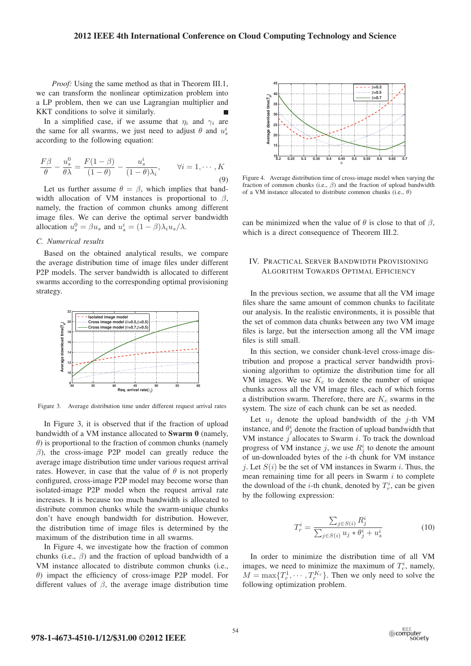*Proof:* Using the same method as that in Theorem III.1, we can transform the nonlinear optimization problem into a LP problem, then we can use Lagrangian multiplier and KKT conditions to solve it similarly.

In a simplified case, if we assume that  $\eta_i$  and  $\gamma_i$  are the same for all swarms, we just need to adjust  $\theta$  and  $u_s^i$ according to the following equation:

$$
\frac{F\beta}{\theta} - \frac{u_s^0}{\theta\lambda} = \frac{F(1-\beta)}{(1-\theta)} - \frac{u_s^i}{(1-\theta)\lambda_i}, \qquad \forall i = 1, \cdots, K
$$
\n(9)

Let us further assume  $\theta = \beta$ , which implies that bandwidth allocation of VM instances is proportional to  $\beta$ , namely, the fraction of common chunks among different image files. We can derive the optimal server bandwidth allocation  $u_s^0 = \beta u_s$  and  $u_s^i = (1 - \beta)\lambda_i u_s / \lambda$ .

## *C. Numerical results*

Based on the obtained analytical results, we compare the average distribution time of image files under different P2P models. The server bandwidth is allocated to different swarms according to the corresponding optimal provisioning strategy.



Figure 3. Average distribution time under different request arrival rates

In Figure 3, it is observed that if the fraction of upload bandwidth of a VM instance allocated to **Swarm 0** (namely,  $\theta$ ) is proportional to the fraction of common chunks (namely  $\beta$ ), the cross-image P2P model can greatly reduce the average image distribution time under various request arrival rates. However, in case that the value of  $\theta$  is not properly configured, cross-image P2P model may become worse than isolated-image P2P model when the request arrival rate increases. It is because too much bandwidth is allocated to distribute common chunks while the swarm-unique chunks don't have enough bandwidth for distribution. However, the distribution time of image files is determined by the maximum of the distribution time in all swarms.

In Figure 4, we investigate how the fraction of common chunks (i.e.,  $\beta$ ) and the fraction of upload bandwidth of a VM instance allocated to distribute common chunks (i.e., θ) impact the efficiency of cross-image P2P model. For different values of  $\beta$ , the average image distribution time



Figure 4. Average distribution time of cross-image model when varying the fraction of common chunks (i.e.,  $\beta$ ) and the fraction of upload bandwidth of a VM instance allocated to distribute common chunks (i.e.,  $\theta$ )

can be minimized when the value of  $\theta$  is close to that of  $\beta$ , which is a direct consequence of Theorem III.2.

## IV. PRACTICAL SERVER BANDWIDTH PROVISIONING ALGORITHM TOWARDS OPTIMAL EFFICIENCY

In the previous section, we assume that all the VM image files share the same amount of common chunks to facilitate our analysis. In the realistic environments, it is possible that the set of common data chunks between any two VM image files is large, but the intersection among all the VM image files is still small.

In this section, we consider chunk-level cross-image distribution and propose a practical server bandwidth provisioning algorithm to optimize the distribution time for all VM images. We use  $K_c$  to denote the number of unique chunks across all the VM image files, each of which forms a distribution swarm. Therefore, there are  $K_c$  swarms in the system. The size of each chunk can be set as needed.

Let  $u_i$  denote the upload bandwidth of the j-th VM instance, and  $\theta_j^i$  denote the fraction of upload bandwidth that VM instance  $j$  allocates to Swarm i. To track the download VM instance  $j$  allocates to Swarm  $i$ . To track the download progress of VM instance j, we use  $R_j^i$  to denote the amount<br>of un-downloaded bytes of the *i*-th chunk for VM instance of un-downloaded bytes of the i-th chunk for VM instance j. Let  $S(i)$  be the set of VM instances in Swarm i. Thus, the mean remaining time for all peers in Swarm  $i$  to complete the download of the *i*-th chunk, denoted by  $T_r^i$ , can be given<br>by the following expression: by the following expression:

$$
T_r^i = \frac{\sum_{j \in S(i)} R_j^i}{\sum_{j \in S(i)} u_j * \theta_j^i + u_s^i}
$$
(10)

In order to minimize the distribution time of all VM images, we need to minimize the maximum of  $T_r^i$ , namely,<br> $M = \max_{r \in \mathbb{R}} T^1$ ,  $T^{K_c}$  Then we only need to solve the  $M = \max\{T_r^1, \dots, T_r^{K_c}\}.$  Then we only need to solve the following optimization problem following optimization problem.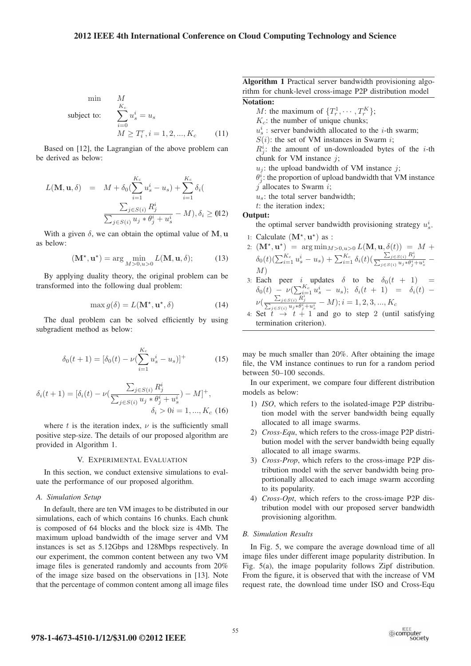## **2012 IEEE 4th International Conference on Cloud Computing Technology and Science**

$$
\begin{array}{ll}\n\text{min} & M \\
\text{subject to:} & \sum_{i=0}^{K_c} u_s^i = u_s \\
& M \ge T_i^r, i = 1, 2, \dots, K_c\n\end{array}\n\tag{11}
$$

Based on [12], the Lagrangian of the above problem can be derived as below:

$$
L(\mathbf{M}, \mathbf{u}, \delta) = M + \delta_0 (\sum_{i=1}^{K_c} u_s^i - u_s) + \sum_{i=1}^{K_c} \delta_i (
$$

$$
\frac{\sum_{j \in S(i)} R_j^i}{\sum_{j \in S(i)} u_j * \theta_j^i + u_s^i} - M), \delta_i \geq 0.12)
$$

With a given  $\delta$ , we can obtain the optimal value of M, **u** as below:

$$
(\mathbf{M}^{\star}, \mathbf{u}^{\star}) = \arg\min_{M>0, u>0} L(\mathbf{M}, \mathbf{u}, \delta); \tag{13}
$$

By applying duality theory, the original problem can be transformed into the following dual problem:

$$
\max g(\delta) = L(\mathbf{M}^\star, \mathbf{u}^\star, \delta) \tag{14}
$$

The dual problem can be solved efficiently by using subgradient method as below:

$$
\delta_0(t+1) = [\delta_0(t) - \nu (\sum_{i=1}^{K_c} u_s^i - u_s)]^+
$$
\n(15)

$$
\delta_i(t+1) = [\delta_i(t) - \nu(\frac{\sum_{j \in S(i)} R_j^i}{\sum_{j \in S(i)} u_j * \theta_j^i + u_s^i}) - M]^+, \n\delta_i > 0i = 1, ..., K_c
$$
 (16)

where t is the iteration index,  $\nu$  is the sufficiently small positive step-size. The details of our proposed algorithm are provided in Algorithm 1.

## V. EXPERIMENTAL EVALUATION

In this section, we conduct extensive simulations to evaluate the performance of our proposed algorithm.

## *A. Simulation Setup*

In default, there are ten VM images to be distributed in our simulations, each of which contains 16 chunks. Each chunk is composed of 64 blocks and the block size is 4Mb. The maximum upload bandwidth of the image server and VM instances is set as 5.12Gbps and 128Mbps respectively. In our experiment, the common content between any two VM image files is generated randomly and accounts from 20% of the image size based on the observations in [13]. Note that the percentage of common content among all image files

Algorithm 1 Practical server bandwidth provisioning algorithm for chunk-level cross-image P2P distribution model Notation:

M: the maximum of  $\{T_r^1, \dots, T_r^K\};$ <br> $K$ : the number of unique chunks:

 $K_c$ : the number of unique chunks;

- $u_s^i$ : server bandwidth allocated to the *i*-th swarm;<br> $S(i)$ : the set of VM instances in Swarm *i*:
- $S(i)$ : the set of VM instances in Swarm i;

 $R_{ij}^{i}$ : the amount of un-downloaded bytes of the *i*-th chunk for VM instance *i*: chunk for VM instance  $j$ ;

- $u_j$ : the upload bandwidth of VM instance j;
- $\theta_j^{\tilde{i}}$ : the proportion of upload bandwidth that VM instance  $j$  allocates to Swarm  $i$ ;
- $u_s$ : the total server bandwidth;
- $t$ : the iteration index:

Output:

the optimal server bandwidth provisioning strategy  $u_s^i$ .

- 1: Calculate  $(M^{\star}, u^{\star})$  as :
- 2:  $(M^*, u^*)$  =  $\arg \min_{M>0, u>0} L(M, u, \delta(t)) = M +$  $\delta_0(t)(\sum_{i=1}^{K_c} u_s^i - u_s) + \sum_{i=1}^{K_c} \delta_i(t)(\frac{\sum_{j \in S(i)} R_j^i}{\sum_{j \in S(i)} u_j * \theta_j^i + u_s^i} -$
- 3: Each peer *i* updates  $\delta$  to be  $\delta_0(t + 1)$  =  $\delta_0(t)$  =  $u(\sum_{k=1}^{K_c} u_i^i)$  =  $u(k)$  +  $\delta_0(t + 1)$  =  $\delta_0(t)$  =  $\delta_0(t) - \nu (\sum_{i=1}^{K_c} u_s^i - u_s); \; \; \delta_i(t+1) = \delta_i(t) - \sum_{i=1}^{K_c} u_i^i$ ν(  $\frac{\sum_{j \in S(i)} R_j^i}{\sum_{j \in S(i)} u_j^i * \theta_j^i + u_s^i} - M; i = 1, 2, 3, ..., K_c$
- 4: Set  $t \rightarrow t + 1$  and go to step 2 (until satisfying<br>termination criterion) termination criterion).

may be much smaller than 20%. After obtaining the image file, the VM instance continues to run for a random period between 50–100 seconds.

In our experiment, we compare four different distribution models as below:

- 1) *ISO*, which refers to the isolated-image P2P distribution model with the server bandwidth being equally allocated to all image swarms.
- 2) *Cross-Equ*, which refers to the cross-image P2P distribution model with the server bandwidth being equally allocated to all image swarms.
- 3) *Cross-Prop*, which refers to the cross-image P2P distribution model with the server bandwidth being proportionally allocated to each image swarm according to its popularity.
- 4) *Cross-Opt*, which refers to the cross-image P2P distribution model with our proposed server bandwidth provisioning algorithm.

## *B. Simulation Results*

In Fig. 5, we compare the average download time of all image files under different image popularity distribution. In Fig. 5(a), the image popularity follows Zipf distribution. From the figure, it is observed that with the increase of VM request rate, the download time under ISO and Cross-Equ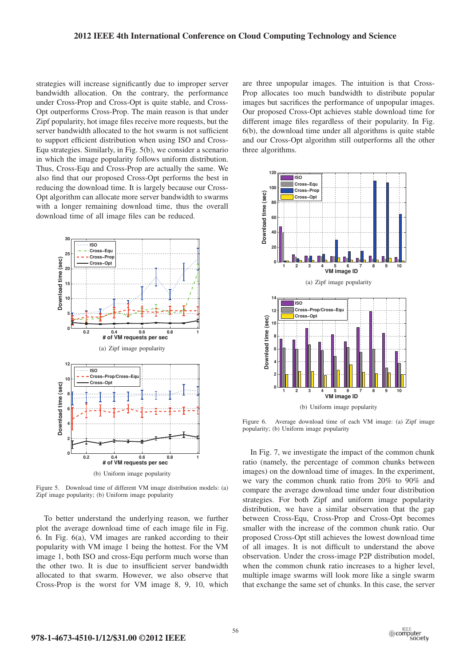strategies will increase significantly due to improper server bandwidth allocation. On the contrary, the performance under Cross-Prop and Cross-Opt is quite stable, and Cross-Opt outperforms Cross-Prop. The main reason is that under Zipf popularity, hot image files receive more requests, but the server bandwidth allocated to the hot swarm is not sufficient to support efficient distribution when using ISO and Cross-Equ strategies. Similarly, in Fig. 5(b), we consider a scenario in which the image popularity follows uniform distribution. Thus, Cross-Equ and Cross-Prop are actually the same. We also find that our proposed Cross-Opt performs the best in reducing the download time. It is largely because our Cross-Opt algorithm can allocate more server bandwidth to swarms with a longer remaining download time, thus the overall download time of all image files can be reduced.



Figure 5. Download time of different VM image distribution models: (a) Zipf image popularity; (b) Uniform image popularity

To better understand the underlying reason, we further plot the average download time of each image file in Fig. 6. In Fig. 6(a), VM images are ranked according to their popularity with VM image 1 being the hottest. For the VM image 1, both ISO and cross-Equ perform much worse than the other two. It is due to insufficient server bandwidth allocated to that swarm. However, we also observe that Cross-Prop is the worst for VM image 8, 9, 10, which

are three unpopular images. The intuition is that Cross-Prop allocates too much bandwidth to distribute popular images but sacrifices the performance of unpopular images. Our proposed Cross-Opt achieves stable download time for different image files regardless of their popularity. In Fig. 6(b), the download time under all algorithms is quite stable and our Cross-Opt algorithm still outperforms all the other three algorithms.



Figure 6. Average download time of each VM image: (a) Zipf image popularity; (b) Uniform image popularity

In Fig. 7, we investigate the impact of the common chunk ratio (namely, the percentage of common chunks between images) on the download time of images. In the experiment, we vary the common chunk ratio from 20% to 90% and compare the average download time under four distribution strategies. For both Zipf and uniform image popularity distribution, we have a similar observation that the gap between Cross-Equ, Cross-Prop and Cross-Opt becomes smaller with the increase of the common chunk ratio. Our proposed Cross-Opt still achieves the lowest download time of all images. It is not difficult to understand the above observation. Under the cross-image P2P distribution model, when the common chunk ratio increases to a higher level, multiple image swarms will look more like a single swarm that exchange the same set of chunks. In this case, the server